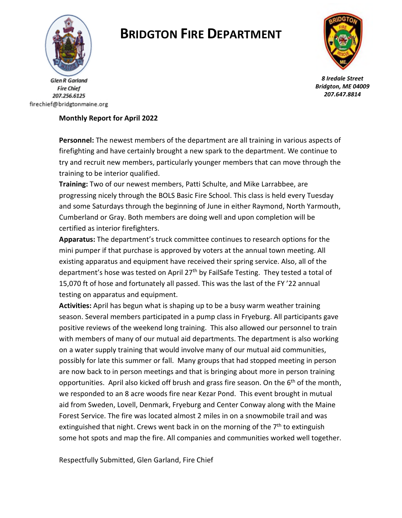

**Fire Chief** 207.256.6125 firechief@bridgtonmaine.org

# **BRIDGTON FIRE DEPARTMENT**



*8 Iredale Street Bridgton, ME 04009 207.647.8814* 

### **Monthly Report for April 2022**

**Personnel:** The newest members of the department are all training in various aspects of firefighting and have certainly brought a new spark to the department. We continue to try and recruit new members, particularly younger members that can move through the training to be interior qualified.

**Training:** Two of our newest members, Patti Schulte, and Mike Larrabbee, are progressing nicely through the BOLS Basic Fire School. This class is held every Tuesday and some Saturdays through the beginning of June in either Raymond, North Yarmouth, Cumberland or Gray. Both members are doing well and upon completion will be certified as interior firefighters.

**Apparatus:** The department's truck committee continues to research options for the mini pumper if that purchase is approved by voters at the annual town meeting. All existing apparatus and equipment have received their spring service. Also, all of the department's hose was tested on April  $27<sup>th</sup>$  by FailSafe Testing. They tested a total of 15,070 ft of hose and fortunately all passed. This was the last of the FY '22 annual testing on apparatus and equipment.

**Activities:** April has begun what is shaping up to be a busy warm weather training season. Several members participated in a pump class in Fryeburg. All participants gave positive reviews of the weekend long training. This also allowed our personnel to train with members of many of our mutual aid departments. The department is also working on a water supply training that would involve many of our mutual aid communities, possibly for late this summer or fall. Many groups that had stopped meeting in person are now back to in person meetings and that is bringing about more in person training opportunities. April also kicked off brush and grass fire season. On the 6<sup>th</sup> of the month, we responded to an 8 acre woods fire near Kezar Pond. This event brought in mutual aid from Sweden, Lovell, Denmark, Fryeburg and Center Conway along with the Maine Forest Service. The fire was located almost 2 miles in on a snowmobile trail and was extinguished that night. Crews went back in on the morning of the  $7<sup>th</sup>$  to extinguish some hot spots and map the fire. All companies and communities worked well together.

Respectfully Submitted, Glen Garland, Fire Chief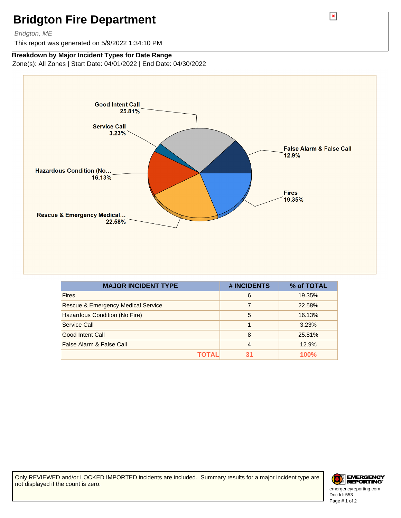## **Bridgton Fire Department**

#### Bridgton, ME

This report was generated on 5/9/2022 1:34:10 PM

### **Breakdown by Major Incident Types for Date Range**

Zone(s): All Zones | Start Date: 04/01/2022 | End Date: 04/30/2022



| <b>MAJOR INCIDENT TYPE</b>                    | # INCIDENTS    | % of TOTAL |
|-----------------------------------------------|----------------|------------|
| <b>Fires</b>                                  | 6              | 19.35%     |
| <b>Rescue &amp; Emergency Medical Service</b> | 7              | 22.58%     |
| Hazardous Condition (No Fire)                 | 5              | 16.13%     |
| Service Call                                  |                | 3.23%      |
| Good Intent Call                              | 8              | 25.81%     |
| False Alarm & False Call                      | $\overline{4}$ | 12.9%      |
| ΤΟΤΑL                                         | 31             | 100%       |

Only REVIEWED and/or LOCKED IMPORTED incidents are included. Summary results for a major incident type are not displayed if the count is zero.



Doc Id: 553 emergencyreporting.com Page # 1 of 2

 $\pmb{\times}$